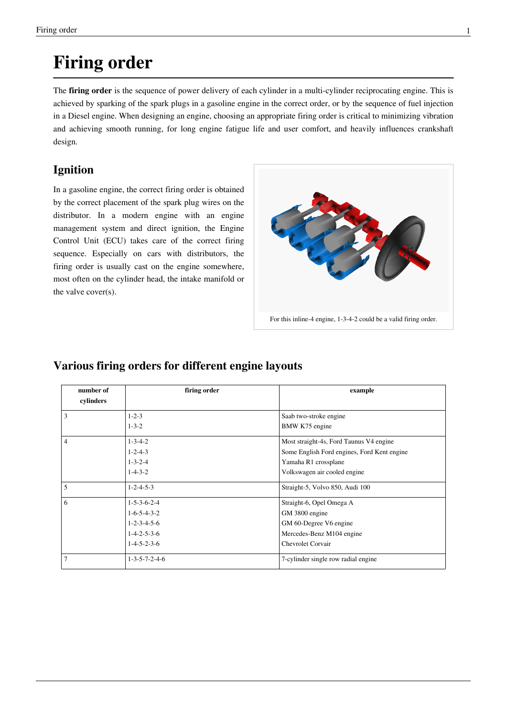# **Firing order**

The **firing order** is the sequence of power delivery of each cylinder in a multi-cylinder [reciprocating engine](http://en.wikipedia.org/w/index.php?title=Reciprocating_engine). This is achieved by sparking of the [spark plugs](http://en.wikipedia.org/w/index.php?title=Spark_plug) in a gasoline engine in the correct order, or by the sequence of fuel injection in a [Diesel engine.](http://en.wikipedia.org/w/index.php?title=Diesel_engine) When designing an engine, choosing an appropriate firing order is critical to minimizing [vibration](http://en.wikipedia.org/w/index.php?title=Oscillation) and achieving smooth running, for long engine [fatigue](http://en.wikipedia.org/w/index.php?title=Metal_fatigue) life and user comfort, and heavily influences crankshaft design.

# **Ignition**

In a gasoline engine, the correct firing order is obtained by the correct placement of the spark plug wires on the [distributor](http://en.wikipedia.org/w/index.php?title=Distributor). In a modern engine with an [engin](http://en.wikipedia.org/w/index.php?title=Engine_management_system)e [management system a](http://en.wikipedia.org/w/index.php?title=Engine_management_system)nd [direct ignition](http://en.wikipedia.org/w/index.php?title=Ignition_system), the [Engine](http://en.wikipedia.org/w/index.php?title=Engine_control_unit) [Control Unit](http://en.wikipedia.org/w/index.php?title=Engine_control_unit) (ECU) takes care of the correct firing sequence. Especially on cars with distributors, the firing order is usually [cast o](http://en.wikipedia.org/w/index.php?title=Casting)n the engine somewhere, most often on the [cylinder head](http://en.wikipedia.org/w/index.php?title=Cylinder_head), the intake [manifold](http://en.wikipedia.org/w/index.php?title=Manifold_%28automotive_engineering%29) or the [valve c](http://en.wikipedia.org/w/index.php?title=Poppet_valve)over(s).



For this [inline-4 e](http://en.wikipedia.org/w/index.php?title=Inline-4)ngine, 1-3-4-2 could be a valid firing order.

# **Various firing orders for different engine layouts**

| number of<br>cylinders       | firing order                | example                                     |  |
|------------------------------|-----------------------------|---------------------------------------------|--|
| 3                            | $1 - 2 - 3$                 | Saab two-stroke engine                      |  |
|                              | $1 - 3 - 2$                 | BMW K75 engine                              |  |
| 4                            | $1 - 3 - 4 - 2$             | Most straight-4s, Ford Taunus V4 engine     |  |
|                              | $1 - 2 - 4 - 3$             | Some English Ford engines, Ford Kent engine |  |
|                              | $1 - 3 - 2 - 4$             | Yamaha R1 crossplane                        |  |
|                              | $1 - 4 - 3 - 2$             | Volkswagen air cooled engine                |  |
| 5                            | $1 - 2 - 4 - 5 - 3$         | Straight-5, Volvo 850, Audi 100             |  |
| 6<br>$1 - 5 - 3 - 6 - 2 - 4$ |                             | Straight-6, Opel Omega A                    |  |
|                              | $1-6-5-4-3-2$               | GM 3800 engine                              |  |
|                              | $1 - 2 - 3 - 4 - 5 - 6$     | GM 60-Degree V6 engine                      |  |
|                              | $1 - 4 - 2 - 5 - 3 - 6$     | Mercedes-Benz M104 engine                   |  |
|                              | $1 - 4 - 5 - 2 - 3 - 6$     | <b>Chevrolet Corvair</b>                    |  |
| 7                            | $1 - 3 - 5 - 7 - 2 - 4 - 6$ | 7-cylinder single row radial engine         |  |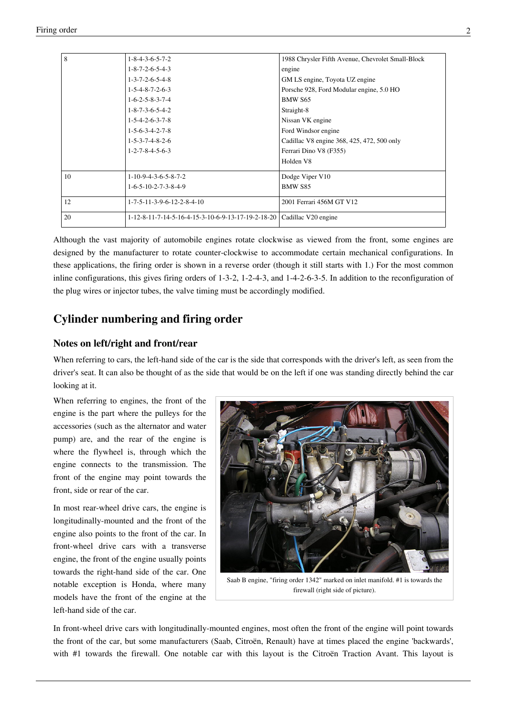| 8  | $1 - 8 - 4 - 3 - 6 - 5 - 7 - 2$                                          | 1988 Chrysler Fifth Avenue, Chevrolet Small-Block |
|----|--------------------------------------------------------------------------|---------------------------------------------------|
|    | $1 - 8 - 7 - 2 - 6 - 5 - 4 - 3$                                          | engine                                            |
|    | $1 - 3 - 7 - 2 - 6 - 5 - 4 - 8$                                          | GM LS engine, Toyota UZ engine                    |
|    | $1 - 5 - 4 - 8 - 7 - 2 - 6 - 3$                                          | Porsche 928, Ford Modular engine, 5.0 HO          |
|    | $1 - 6 - 2 - 5 - 8 - 3 - 7 - 4$                                          | BMW S65                                           |
|    | $1 - 8 - 7 - 3 - 6 - 5 - 4 - 2$                                          | Straight-8                                        |
|    | $1 - 5 - 4 - 2 - 6 - 3 - 7 - 8$                                          | Nissan VK engine                                  |
|    | $1 - 5 - 6 - 3 - 4 - 2 - 7 - 8$                                          | Ford Windsor engine                               |
|    | $1 - 5 - 3 - 7 - 4 - 8 - 2 - 6$                                          | Cadillac V8 engine 368, 425, 472, 500 only        |
|    | $1 - 2 - 7 - 8 - 4 - 5 - 6 - 3$                                          | Ferrari Dino V8 (F355)                            |
|    |                                                                          | Holden V8                                         |
| 10 | $1-10-9-4-3-6-5-8-7-2$                                                   | Dodge Viper V10                                   |
|    | $1-6-5-10-2-7-3-8-4-9$                                                   | BMW S85                                           |
| 12 | $1 - 7 - 5 - 11 - 3 - 9 - 6 - 12 - 2 - 8 - 4 - 10$                       | 2001 Ferrari 456M GT V12                          |
| 20 | $1-12-8-11-7-14-5-16-4-15-3-10-6-9-13-17-19-2-18-20$ Cadillac V20 engine |                                                   |

Although the vast majority of automobile engines rotate clockwise as viewed from the front, some engines are designed by the manufacturer to rotate counter-clockwise to accommodate certain mechanical configurations. In these applications, the firing order is shown in a reverse order (though it still starts with 1.) For the most common inline configurations, this gives firing orders of 1-3-2, 1-2-4-3, and 1-4-2-6-3-5. In addition to the reconfiguration of the plug wires or injector tubes, the valve timing must be accordingly modified.

#### **Cylinder numbering and firing order**

#### **Notes on left/right and front/rear**

When referring to [cars](http://en.wikipedia.org/w/index.php?title=Automobile), the left-hand side of the car is the side that corresponds with the driver's left, as seen from the driver's seat. It can also be thought of as the side that would be on the left if one was standing directly behind the car looking at it.

When referring to [engines,](http://en.wikipedia.org/w/index.php?title=Engines) the front of the engine is the part where the [pulley](http://en.wikipedia.org/w/index.php?title=Pulley)s for the accessories (such as the [alternator a](http://en.wikipedia.org/w/index.php?title=Alternator_%28auto%29)nd [water](http://en.wikipedia.org/w/index.php?title=Water_pump) [pump](http://en.wikipedia.org/w/index.php?title=Water_pump)) are, and the rear of the engine is where the [flywheel i](http://en.wikipedia.org/w/index.php?title=Flywheel)s, through which the engine connects to the [transmission](http://en.wikipedia.org/w/index.php?title=Transmission_%28mechanics%29). The front of the engine may point towards the front, side or rear of the car.

In most [rear-wheel drive c](http://en.wikipedia.org/w/index.php?title=Rear-wheel_drive)ars, the engine is [longitudinally-mounted a](http://en.wikipedia.org/w/index.php?title=Longitudinal_engine)nd the front of the engine also points to the front of the car. In [front-wheel drive](http://en.wikipedia.org/w/index.php?title=Front-wheel_drive) cars with a [transverse](http://en.wikipedia.org/w/index.php?title=Transverse_engine) [engine](http://en.wikipedia.org/w/index.php?title=Transverse_engine), the front of the engine usually points towards the right-hand side of the car. One notable exception is [Honda,](http://en.wikipedia.org/w/index.php?title=Honda) where many models have the front of the engine at the left-hand side of the car.



[Saab B engine,](http://en.wikipedia.org/w/index.php?title=Saab_B_engine) "firing order 1342" marked on inlet manifold. #1 is towards the firewall (right side of picture).

In front-wheel drive cars with [longitudinally-mounted e](http://en.wikipedia.org/w/index.php?title=Longitudinal_engine)ngines, most often the front of the engine will point towards the front of the car, but some manufacturers [\(Saab,](http://en.wikipedia.org/w/index.php?title=Saab_automobile) [Citroën,](http://en.wikipedia.org/w/index.php?title=Citro%C3%ABn) [Renault\)](http://en.wikipedia.org/w/index.php?title=Renault) have at times placed the engine 'backwards', with #1 towards the [firewall](http://en.wikipedia.org/w/index.php?title=Firewall_%28construction%29). One notable car with this layout is the [Citroën Traction Avant.](http://en.wikipedia.org/w/index.php?title=Citro%C3%ABn_Traction_Avant) This layout is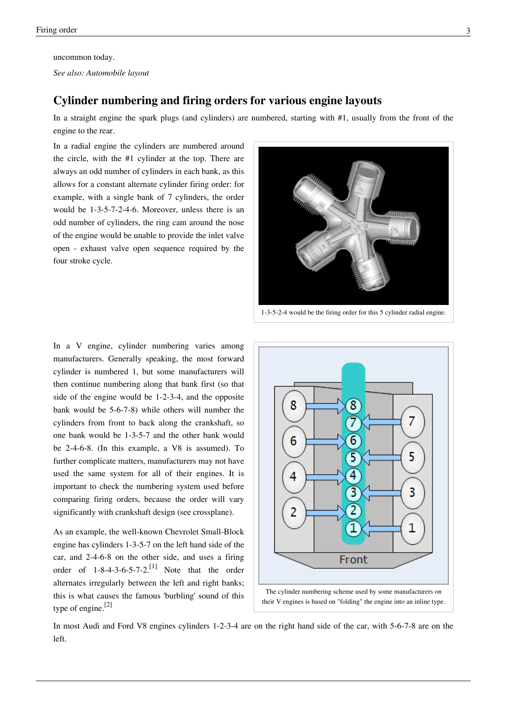uncommon today.

*See also: [Automobile layout](http://en.wikipedia.org/w/index.php?title=Automobile_layout)*

#### **Cylinder numbering and firing orders for various engine layouts**

In a [straight engine](http://en.wikipedia.org/w/index.php?title=Straight_engine) the spark plugs (and [cylinder](http://en.wikipedia.org/w/index.php?title=Cylinder_%28engine%29)s) are numbered, starting with #1, usually from the front of the engine to the rear.

In a [radial engine](http://en.wikipedia.org/w/index.php?title=Radial_engine) the cylinders are numbered around the circle, with the #1 cylinder at the top. There are always an odd number of cylinders in each bank, as this allows for a constant alternate cylinder firing order: for example, with a single bank of 7 cylinders, the order would be 1-3-5-7-2-4-6. Moreover, unless there is an odd number of cylinders, the ring cam around the nose of the engine would be unable to provide the inlet valve open - exhaust valve open sequence required by the four stroke cycle.



1-3-5-2-4 would be the firing order for this 5 cylinder [radial engine](http://en.wikipedia.org/w/index.php?title=Radial_engine).

In a [V engine,](http://en.wikipedia.org/w/index.php?title=V_engine) cylinder numbering varies among manufacturers. Generally speaking, the most forward cylinder is numbered 1, but some manufacturers will then continue numbering along that bank first (so that side of the engine would be 1-2-3-4, and the opposite bank would be 5-6-7-8) while others will number the cylinders from front to back along the crankshaft, so one bank would be 1-3-5-7 and the other bank would be 2-4-6-8. (In this example, a V8 is assumed). To further complicate matters, manufacturers may not have used the same system for all of their engines. It is important to check the numbering system used before comparing firing orders, because the order will vary significantly with crankshaft design (see [crossplane](http://en.wikipedia.org/w/index.php?title=Crossplane)).

As an example, the well-known [Chevrolet Small-Block](http://en.wikipedia.org/w/index.php?title=Chevrolet_Small-Block_engine) [engine h](http://en.wikipedia.org/w/index.php?title=Chevrolet_Small-Block_engine)as cylinders 1-3-5-7 on the left hand side of the car, and 2-4-6-8 on the other side, and uses a firing order of  $1-8-4-3-6-5-7-2$ .<sup>[1]</sup> Note that the order alternates irregularly between the left and right banks; this is what causes the famous 'burbling' sound of this type of engine.<sup>[2]</sup>



their V engines is based on "folding" the engine into an inline type.

In most [Audi](http://en.wikipedia.org/w/index.php?title=Audi) and [Ford](http://en.wikipedia.org/w/index.php?title=Ford) V8 engines cylinders 1-2-3-4 are on the right hand side of the car, with 5-6-7-8 are on the left.